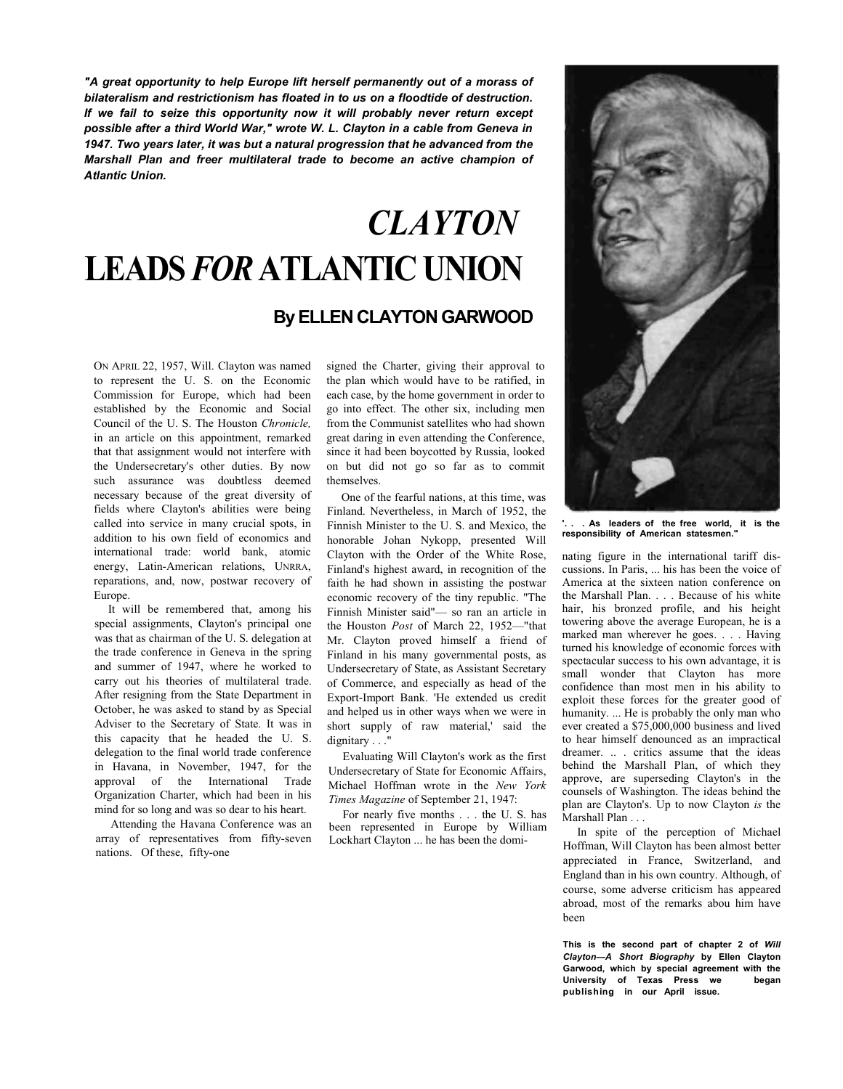If we fail to seize this opportunity now it will probably never return except possible after a third World War," wrote W. L. Clayton in a cable from Geneva in 1947. Two years later, it was but a natural progression that he advanced from the<br>Marshall, Blan, and, frees, multilateral, trade, to, become, on estive, ebernaion, of *"A great opportunity to help Europe lift herself permanently out of a morass of bilateralism and restrictionism has floated in to us on a floodtide of destruction. Marshall Plan and freer multilateral trade to become an active champion of Atlantic Union.*

# *CLAYTON*  **LEADS** *FOR* **ATLANTIC UNION**

## **By ELLEN CLAYTON GARWOOD**

ON APRIL 22, 1957, Will. Clayton was named to represent the U. S. on the Economic Commission for Europe, which had been established by the Economic and Social Council of the U. S. The Houston *Chronicle,*  in an article on this appointment, remarked that that assignment would not interfere with the Undersecretary's other duties. By now such assurance was doubtless deemed necessary because of the great diversity of fields where Clayton's abilities were being called into service in many crucial spots, in addition to his own field of economics and international trade: world bank, atomic energy, Latin-American relations, UNRRA, reparations, and, now, postwar recovery of Europe.

It will be remembered that, among his special assignments, Clayton's principal one was that as chairman of the U. S. delegation at the trade conference in Geneva in the spring and summer of 1947, where he worked to carry out his theories of multilateral trade. After resigning from the State Department in October, he was asked to stand by as Special Adviser to the Secretary of State. It was in this capacity that he headed the U. S. delegation to the final world trade conference in Havana, in November, 1947, for the approval of the International Trade Organization Charter, which had been in his mind for so long and was so dear to his heart.

Attending the Havana Conference was an array of representatives from fifty-seven nations. Of these, fifty-one

signed the Charter, giving their approval to the plan which would have to be ratified, in each case, by the home government in order to go into effect. The other six, including men from the Communist satellites who had shown great daring in even attending the Conference, since it had been boycotted by Russia, looked on but did not go so far as to commit themselves.

One of the fearful nations, at this time, was Finland. Nevertheless, in March of 1952, the Finnish Minister to the U. S. and Mexico, the honorable Johan Nykopp, presented Will Clayton with the Order of the White Rose, Finland's highest award, in recognition of the faith he had shown in assisting the postwar economic recovery of the tiny republic. "The Finnish Minister said"— so ran an article in the Houston *Post* of March 22, 1952—"that Mr. Clayton proved himself a friend of Finland in his many governmental posts, as Undersecretary of State, as Assistant Secretary of Commerce, and especially as head of the Export-Import Bank. 'He extended us credit and helped us in other ways when we were in short supply of raw material,' said the dignitary  $\ldots$ 

Evaluating Will Clayton's work as the first Undersecretary of State for Economic Affairs, Michael Hoffman wrote in the *New York Times Magazine* of September 21, 1947:

For nearly five months . . . the U. S. has been represented in Europe by William Lockhart Clayton ... he has been the domi-



**'. . . As leaders of the free world, it is the responsibility of American statesmen."**

nating figure in the international tariff discussions. In Paris, ... his has been the voice of America at the sixteen nation conference on the Marshall Plan. . . . Because of his white hair, his bronzed profile, and his height towering above the average European, he is a marked man wherever he goes. . . . Having turned his knowledge of economic forces with spectacular success to his own advantage, it is small wonder that Clayton has more confidence than most men in his ability to exploit these forces for the greater good of humanity. ... He is probably the only man who ever created a \$75,000,000 business and lived to hear himself denounced as an impractical dreamer. .. . critics assume that the ideas behind the Marshall Plan, of which they approve, are superseding Clayton's in the counsels of Washington. The ideas behind the plan are Clayton's. Up to now Clayton *is* the Marshall Plan

In spite of the perception of Michael Hoffman, Will Clayton has been almost better appreciated in France, Switzerland, and England than in his own country. Although, of course, some adverse criticism has appeared abroad, most of the remarks abou him have been

**This is the second part of chapter 2 of** *Will Clayton***—***A Short Biography* **by Ellen Clayton Garwood, which by special agreement with the University of Texas Press we began publishing in our April issue.**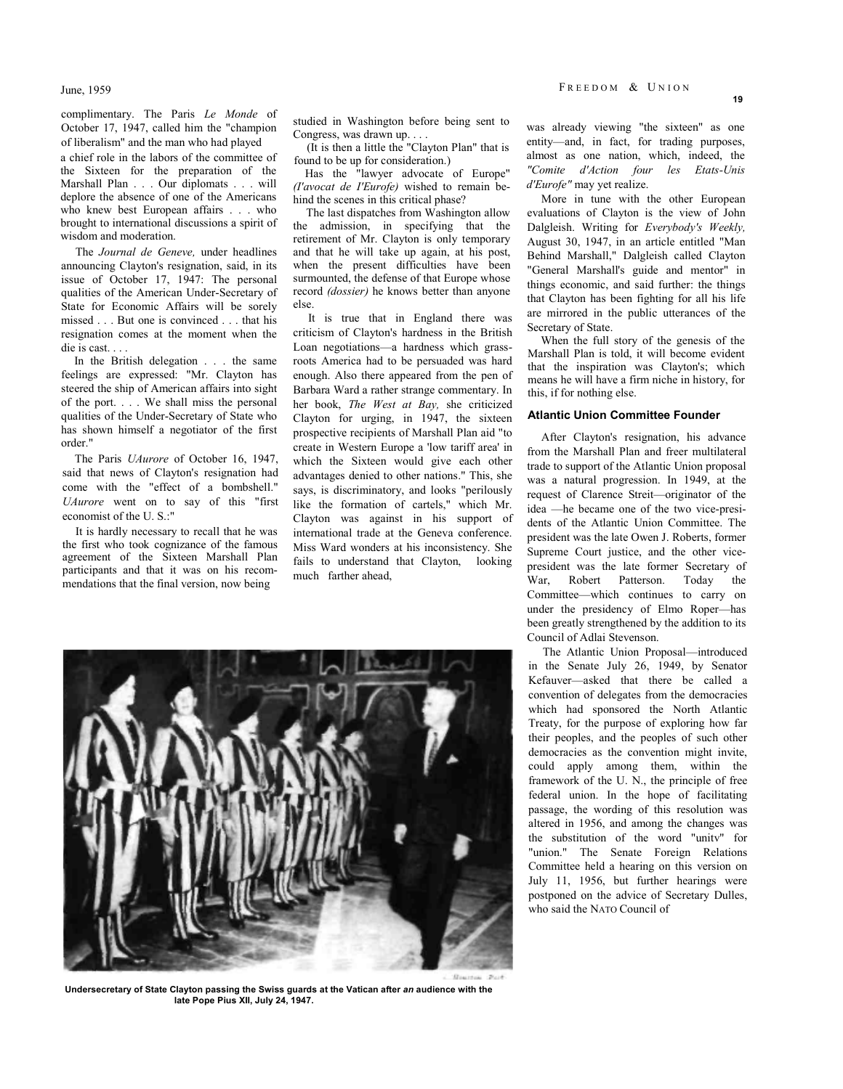June, 1959

complimentary. The Paris *Le Monde* of October 17, 1947, called him the "champion of liberalism" and the man who had played

a chief role in the labors of the committee of the Sixteen for the preparation of the Marshall Plan . . . Our diplomats . . . will deplore the absence of one of the Americans who knew best European affairs . . . who brought to international discussions a spirit of wisdom and moderation.

The *Journal de Geneve,* under headlines announcing Clayton's resignation, said, in its issue of October 17, 1947: The personal qualities of the American Under-Secretary of State for Economic Affairs will be sorely missed . . . But one is convinced . . . that his resignation comes at the moment when the die is cast...

In the British delegation . . . the same feelings are expressed: "Mr. Clayton has steered the ship of American affairs into sight of the port. . . . We shall miss the personal qualities of the Under-Secretary of State who has shown himself a negotiator of the first order."

The Paris *UAurore* of October 16, 1947, said that news of Clayton's resignation had come with the "effect of a bombshell." *UAurore* went on to say of this "first economist of the U. S.:"

It is hardly necessary to recall that he was the first who took cognizance of the famous agreement of the Sixteen Marshall Plan participants and that it was on his recommendations that the final version, now being

studied in Washington before being sent to Congress, was drawn up. . . .

(It is then a little the "Clayton Plan" that is found to be up for consideration.)

Has the "lawyer advocate of Europe" *(I'avocat de I'Eurofe)* wished to remain behind the scenes in this critical phase?

The last dispatches from Washington allow the admission, in specifying that the retirement of Mr. Clayton is only temporary and that he will take up again, at his post, when the present difficulties have been surmounted, the defense of that Europe whose record *(dossier)* he knows better than anyone else.

It is true that in England there was criticism of Clayton's hardness in the British Loan negotiations—a hardness which grassroots America had to be persuaded was hard enough. Also there appeared from the pen of Barbara Ward a rather strange commentary. In her book, *The West at Bay,* she criticized Clayton for urging, in 1947, the sixteen prospective recipients of Marshall Plan aid "to create in Western Europe a 'low tariff area' in which the Sixteen would give each other advantages denied to other nations." This, she says, is discriminatory, and looks "perilously like the formation of cartels," which Mr. Clayton was against in his support of international trade at the Geneva conference. Miss Ward wonders at his inconsistency. She fails to understand that Clayton, looking much farther ahead,

was already viewing "the sixteen" as one entity—and, in fact, for trading purposes, almost as one nation, which, indeed, the *"Comite d'Action four les Etats-Unis* 

More in tune with the other European evaluations of Clayton is the view of John Dalgleish. Writing for *Everybody's Weekly,*  August 30, 1947, in an article entitled "Man Behind Marshall," Dalgleish called Clayton "General Marshall's guide and mentor" in things economic, and said further: the things that Clayton has been fighting for all his life are mirrored in the public utterances of the Secretary of State.

When the full story of the genesis of the Marshall Plan is told, it will become evident that the inspiration was Clayton's; which means he will have a firm niche in history, for this, if for nothing else.

#### **Atlantic Union Committee Founder**

After Clayton's resignation, his advance from the Marshall Plan and freer multilateral trade to support of the Atlantic Union proposal was a natural progression. In 1949, at the request of Clarence Streit—originator of the idea —he became one of the two vice-presidents of the Atlantic Union Committee. The president was the late Owen J. Roberts, former Supreme Court justice, and the other vicepresident was the late former Secretary of War, Robert Patterson. Today the Committee—which continues to carry on under the presidency of Elmo Roper—has been greatly strengthened by the addition to its Council of Adlai Stevenson.

The Atlantic Union Proposal—introduced in the Senate July 26, 1949, by Senator Kefauver—asked that there be called a convention of delegates from the democracies which had sponsored the North Atlantic Treaty, for the purpose of exploring how far their peoples, and the peoples of such other democracies as the convention might invite, could apply among them, within the framework of the U. N., the principle of free federal union. In the hope of facilitating passage, the wording of this resolution was altered in 1956, and among the changes was the substitution of the word "unitv" for "union." The Senate Foreign Relations Committee held a hearing on this version on July 11, 1956, but further hearings were postponed on the advice of Secretary Dulles, who said the NATO Council of

**Undersecretary of State Clayton passing the Swiss guards at the Vatican after** *an* **audience with the late Pope Pius XII, July 24, 1947.**

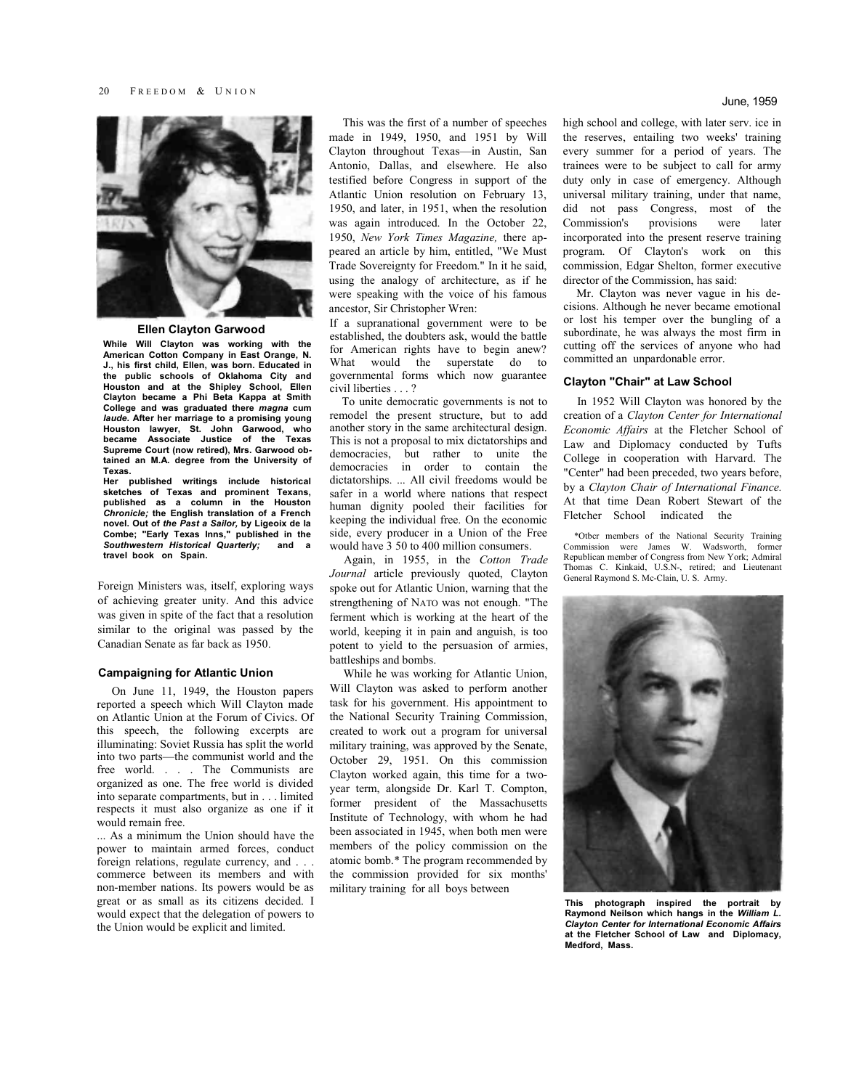

**Ellen Clayton Garwood**

**While Will Clayton was working with the American Cotton Company in East Orange, N. J., his first child, Ellen, was born. Educated in the public schools of Oklahoma City and Houston and at the Shipley School, Ellen Clayton became a Phi Beta Kappa at Smith College and was graduated there** *magna* **cum**  *laude.* **After her marriage to a promising young Houston lawyer, St. John Garwood, who became Associate Justice of the Texas Supreme Court (now retired), Mrs. Garwood obtained an M.A. degree from the University of Texas.**

**Her published writings include historical sketches of Texas and prominent Texans, published as a column in the Houston**  *Chronicle;* **the English translation of a French novel. Out of** *the Past a Sailor,* **by Ligeoix de la Combe; "Early Texas Inns," published in the**  *Southwestern Historical Quarterly;* **and a travel book on Spain.**

Foreign Ministers was, itself, exploring ways of achieving greater unity. And this advice was given in spite of the fact that a resolution similar to the original was passed by the Canadian Senate as far back as 1950.

#### **Campaigning for Atlantic Union**

On June 11, 1949, the Houston papers reported a speech which Will Clayton made on Atlantic Union at the Forum of Civics. Of this speech, the following excerpts are illuminating: Soviet Russia has split the world into two parts—the communist world and the free world. . . . The Communists are organized as one. The free world is divided into separate compartments, but in . . . limited respects it must also organize as one if it would remain free.

... As a minimum the Union should have the power to maintain armed forces, conduct foreign relations, regulate currency, and . . . commerce between its members and with non-member nations. Its powers would be as great or as small as its citizens decided. I would expect that the delegation of powers to the Union would be explicit and limited.

This was the first of a number of speeches made in 1949, 1950, and 1951 by Will Clayton throughout Texas—in Austin, San Antonio, Dallas, and elsewhere. He also testified before Congress in support of the Atlantic Union resolution on February 13, 1950, and later, in 1951, when the resolution was again introduced. In the October 22, 1950, *New York Times Magazine,* there appeared an article by him, entitled, "We Must Trade Sovereignty for Freedom." In it he said, using the analogy of architecture, as if he were speaking with the voice of his famous ancestor, Sir Christopher Wren:

If a supranational government were to be established, the doubters ask, would the battle for American rights have to begin anew? What would the superstate do to governmental forms which now guarantee civil liberties . . . ?

To unite democratic governments is not to remodel the present structure, but to add another story in the same architectural design. This is not a proposal to mix dictatorships and democracies, but rather to unite the democracies in order to contain the dictatorships. ... All civil freedoms would be safer in a world where nations that respect human dignity pooled their facilities for keeping the individual free. On the economic side, every producer in a Union of the Free would have 3 50 to 400 million consumers.

Again, in 1955, in the *Cotton Trade Journal* article previously quoted, Clayton spoke out for Atlantic Union, warning that the strengthening of NATO was not enough. "The ferment which is working at the heart of the world, keeping it in pain and anguish, is too potent to yield to the persuasion of armies, battleships and bombs.

While he was working for Atlantic Union, Will Clayton was asked to perform another task for his government. His appointment to the National Security Training Commission, created to work out a program for universal military training, was approved by the Senate, October 29, 1951. On this commission Clayton worked again, this time for a twoyear term, alongside Dr. Karl T. Compton, former president of the Massachusetts Institute of Technology, with whom he had been associated in 1945, when both men were members of the policy commission on the atomic bomb.\* The program recommended by the commission provided for six months' military training for all boys between

high school and college, with later serv. ice in the reserves, entailing two weeks' training every summer for a period of years. The trainees were to be subject to call for army duty only in case of emergency. Although universal military training, under that name, did not pass Congress, most of the Commission's provisions were later incorporated into the present reserve training program. Of Clayton's work on this commission, Edgar Shelton, former executive director of the Commission, has said:

Mr. Clayton was never vague in his decisions. Although he never became emotional or lost his temper over the bungling of a subordinate, he was always the most firm in cutting off the services of anyone who had committed an unpardonable error.

#### **Clayton "Chair" at Law School**

In 1952 Will Clayton was honored by the creation of a *Clayton Center for International Economic Affairs* at the Fletcher School of Law and Diplomacy conducted by Tufts College in cooperation with Harvard. The "Center" had been preceded, two years before, by a *Clayton Chair of International Finance.*  At that time Dean Robert Stewart of the Fletcher School indicated the

\*Otbcr members of the National Security Training Commission were James W. Wadsworth, former Republican member of Congress from New York; Admiral Thomas C. Kinkaid, U.S.N-, retired; and Lieutenant General Raymond S. Mc-Clain, U. S. Army.



**This photograph inspired the portrait by Raymond Neilson which hangs in the** *William L. Clayton Center for International Economic Affairs*  **at the Fletcher School of Law and Diplomacy, Medford, Mass.**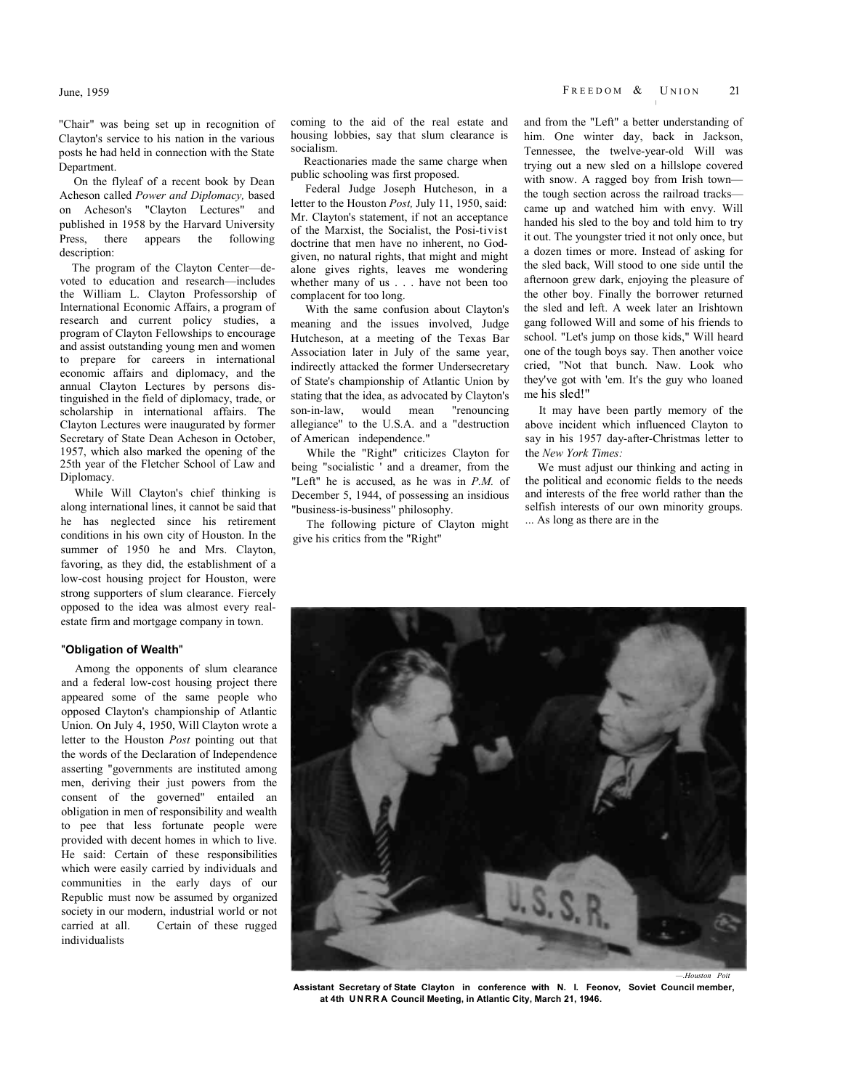"Chair" was being set up in recognition of Clayton's service to his nation in the various posts he had held in connection with the State **Department** 

On the flyleaf of a recent book by Dean Acheson called *Power and Diplomacy,* based on Acheson's "Clayton Lectures" and published in 1958 by the Harvard University Press, there appears the following description:

The program of the Clayton Center—devoted to education and research—includes the William L. Clayton Professorship of International Economic Affairs, a program of research and current policy studies, a program of Clayton Fellowships to encourage and assist outstanding young men and women to prepare for careers in international economic affairs and diplomacy, and the annual Clayton Lectures by persons distinguished in the field of diplomacy, trade, or scholarship in international affairs. The Clayton Lectures were inaugurated by former Secretary of State Dean Acheson in October, 1957, which also marked the opening of the 25th year of the Fletcher School of Law and Diplomacy.

While Will Clayton's chief thinking is along international lines, it cannot be said that he has neglected since his retirement conditions in his own city of Houston. In the summer of 1950 he and Mrs. Clayton, favoring, as they did, the establishment of a low-cost housing project for Houston, were strong supporters of slum clearance. Fiercely opposed to the idea was almost every realestate firm and mortgage company in town.

### "**Obligation of Wealth**"

Among the opponents of slum clearance and a federal low-cost housing project there appeared some of the same people who opposed Clayton's championship of Atlantic Union. On July 4, 1950, Will Clayton wrote a letter to the Houston *Post* pointing out that the words of the Declaration of Independence asserting "governments are instituted among men, deriving their just powers from the consent of the governed" entailed an obligation in men of responsibility and wealth to pee that less fortunate people were provided with decent homes in which to live. He said: Certain of these responsibilities which were easily carried by individuals and communities in the early days of our Republic must now be assumed by organized society in our modern, industrial world or not carried at all. Certain of these rugged individualists

coming to the aid of the real estate and housing lobbies, say that slum clearance is socialism.

Reactionaries made the same charge when public schooling was first proposed.

Federal Judge Joseph Hutcheson, in a letter to the Houston *Post,* July 11, 1950, said: Mr. Clayton's statement, if not an acceptance of the Marxist, the Socialist, the Posi-tivist doctrine that men have no inherent, no Godgiven, no natural rights, that might and might alone gives rights, leaves me wondering whether many of us . . . have not been too complacent for too long.

With the same confusion about Clayton's meaning and the issues involved, Judge Hutcheson, at a meeting of the Texas Bar Association later in July of the same year, indirectly attacked the former Undersecretary of State's championship of Atlantic Union by stating that the idea, as advocated by Clayton's son-in-law, would mean "renouncing allegiance" to the U.S.A. and a "destruction of American independence."

While the "Right" criticizes Clayton for being "socialistic ' and a dreamer, from the "Left" he is accused, as he was in *P.M.* of December 5, 1944, of possessing an insidious "business-is-business" philosophy.

The following picture of Clayton might give his critics from the "Right"

and from the "Left" a better understanding of him. One winter day, back in Jackson, Tennessee, the twelve-year-old Will was trying out a new sled on a hillslope covered with snow. A ragged boy from Irish town the tough section across the railroad tracks came up and watched him with envy. Will handed his sled to the boy and told him to try it out. The youngster tried it not only once, but a dozen times or more. Instead of asking for the sled back, Will stood to one side until the afternoon grew dark, enjoying the pleasure of the other boy. Finally the borrower returned the sled and left. A week later an Irishtown gang followed Will and some of his friends to school. "Let's jump on those kids," Will heard one of the tough boys say. Then another voice cried, "Not that bunch. Naw. Look who they've got with 'em. It's the guy who loaned me his sled!"

It may have been partly memory of the above incident which influenced Clayton to say in his 1957 day-after-Christmas letter to the *New York Times:*

We must adjust our thinking and acting in the political and economic fields to the needs and interests of the free world rather than the selfish interests of our own minority groups. ... As long as there are in the



**Assistant Secretary of State Clayton in conference with N. I. Feonov, Soviet Council member, at 4th U N R R A Council Meeting, in Atlantic City, March 21, 1946.**